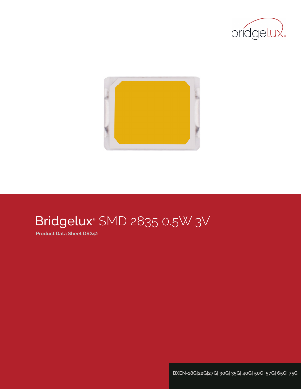



# Bridgelux® SMD 2835 0.5W 3V

**Product Data Sheet DS242**

**BXEN-18G|22G|27G| 30G| 35G| 40G| 50G| 57G| 65G| 75G**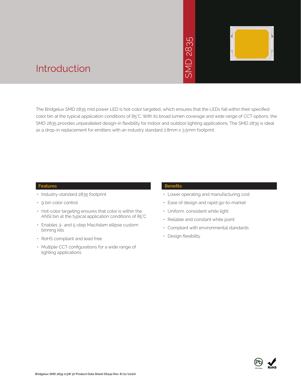# 2835  $\overline{\bigcap}$ **INS**



### Introduction

The Bridgelux SMD 2835 mid power LED is hot-color targeted, which ensures that the LEDs fall within their specified color bin at the typical application conditions of 85°C. With its broad lumen coverage and wide range of CCT options, the SMD 2835 provides unparalleled design-in flexibility for indoor and outdoor lighting applications. The SMD 2835 is ideal as a drop-in replacement for emitters with an industry standard 2.8mm x 3.5mm footprint. • May 2836<br>
• May 2835<br>
• May 2835<br>
• May 2835<br>
• Design and outdoor lighting<br>
• Ease of design a<br>
• Uniform, consiste<br>
• Reliable and con<br>
• Compliant with e<br>
• Design flexibility

#### **Features**

- Industry-standard 2835 footprint
- 9 bin color control
- Hot-color targeting ensures that color is within the ANSI bin at the typical application conditions of 85°C
- Enables 3- and 5-step MacAdam ellipse custom binning kits
- RoHS compliant and lead free
- Multiple CCT configurations for a wide range of lighting applications

#### **Benefits**

- Lower operating and manufacturing cost
- Ease of design and rapid go-to-market
- Uniform, consistent white light
- Reliable and constant white point
- Compliant with environmental standards
- · Design flexibility

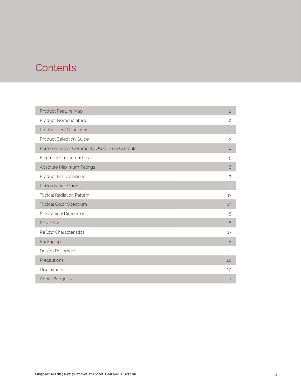### **Contents**

| Product Feature Map                         | $\overline{c}$ |
|---------------------------------------------|----------------|
| Product Nomenclature                        | $\overline{c}$ |
| <b>Product Test Conditions</b>              | $\overline{c}$ |
| <b>Product Selection Guide</b>              | 3              |
| Performance at Commonly Used Drive Currents | $\overline{4}$ |
| <b>Electrical Characteristics</b>           | 5              |
| Absolute Maximum Ratings                    | 6              |
| <b>Product Bin Definitions</b>              | 7              |
| Performance Curves                          | 10             |
| <b>Typical Radiation Pattern</b>            | 13             |
| Typical Color Spectrum                      | 14             |
| Mechanical Dimensions                       | 15             |
| Reliability                                 | 16             |
| <b>Reflow Characteristics</b>               | 17             |
| Packaging                                   | 18             |
| Design Resources                            | 20             |
| Precautions                                 | 20             |
| <b>Disclaimers</b>                          | 20             |
| About Bridgelux                             | 21             |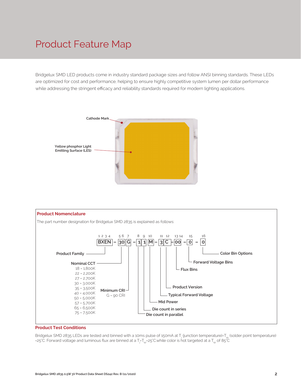### Product Feature Map

Bridgelux SMD LED products come in industry standard package sizes and follow ANSI binning standards. These LEDs are optimized for cost and performance, helping to ensure highly competitive system lumen per dollar performance while addressing the stringent efficacy and reliability standards required for modern lighting applications.





#### **Product Test Conditions**

Bridgelux SMD 2835 LEDs are tested and binned with a 10ms pulse of 150mA at T<sub>j</sub> (junction temperature)=T<sub>sp</sub> (solder point temperature) =25°C. Forward voltage and luminous flux are binned at a T<sub>j</sub>=T<sub>sp</sub>=25°C.while color is hot targeted at a T<sub>sp</sub> of 85°C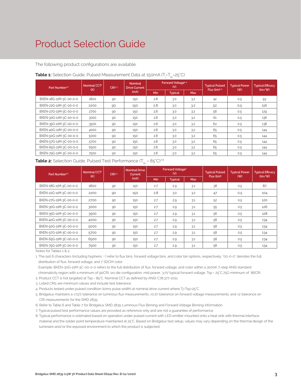### Product Selection Guide

The following product configurations are available:

| Part Number <sup>1,6</sup> | Nominal CCT <sup>2</sup><br>(K) | CRI3.5 | <b>Nominal</b><br><b>Drive Current</b> |            | Forward Voltage <sup>4.5</sup><br>(V) |            | <b>Typical Pulsed</b><br>Flux $(lm)^{4.5}$ | <b>Typical Power</b><br>(W) | <b>Typical Efficacy</b><br>$\langle \text{Im}/\text{W} \rangle$ |
|----------------------------|---------------------------------|--------|----------------------------------------|------------|---------------------------------------|------------|--------------------------------------------|-----------------------------|-----------------------------------------------------------------|
|                            |                                 |        | (mA)                                   | <b>Min</b> | <b>Typical</b>                        | <b>Max</b> |                                            |                             |                                                                 |
| BXEN-18G-11M-3C-00-0-0     | 1800                            | 90     | 150                                    | 2.8        | 3.0                                   | 3.2        | 42                                         | 0.5                         | 93                                                              |
| BXEN-22G-11M-3C-00-0-0     | 2200                            | 90     | 150                                    | 2.8        | 3.0                                   | 3.2        | 52                                         | 0.5                         | 116                                                             |
| BXEN-27G-11M-3C-00-0-0     | 2700                            | 90     | 150                                    | 2.8        | 3.0                                   | 3.2        | 58                                         | 0.5                         | 129                                                             |
| BXEN-30G-11M-3C-00-0-0     | 3000                            | 90     | 150                                    | 2.8        | 3.0                                   | 3.2        | 61                                         | 0.5                         | 136                                                             |
| BXEN-35G-11M-3C-00-0-0     | 3500                            | 90     | 150                                    | 2.8        | 3.0                                   | 3.2        | 62                                         | 0.5                         | 138                                                             |
| BXEN-40G-11M-3C-00-0-0     | 4000                            | 90     | 150                                    | 2.8        | 3.0                                   | 3.2        | 65                                         | 0.5                         | 144                                                             |
| BXEN-50G-11M-3C-00-0-0     | 5000                            | 90     | 150                                    | 2.8        | 3.0                                   | 3.2        | 65                                         | 0.5                         | 144                                                             |
| BXEN-57G-11M-3C-00-0-0     | 5700                            | 90     | 150                                    | 2.8        | 3.0                                   | 3.2        | 65                                         | 0.5                         | 144                                                             |
| BXEN-65G-11M-3C-00-0-0     | 6500                            | 90     | 150                                    | 2.8        | 3.0                                   | 3.2        | 65                                         | 0.5                         | 144                                                             |
| BXEN-75G-11M-3C-00-0-0     | 7500                            | 90     | 150                                    | 2.8        | 3.0                                   | 3.2        | 65                                         | 0.5                         | 144                                                             |

#### **Table 1:** Selection Guide, Pulsed Measurement Data at 150mA (T<sub>j</sub>=T<sub>sp</sub>=25°C)

| <b>Table 2:</b> Selection Guide, Pulsed Test Performance $(T_{sp} = 85^{\circ}C)^{7.8}$ |  |
|-----------------------------------------------------------------------------------------|--|
|-----------------------------------------------------------------------------------------|--|

| Part Number <sup>1,6</sup> | Nominal CCT <sup>2</sup><br>(K) | CRI3.5 | <b>Nominal Drive</b><br>Current |     | Forward Voltage <sup>5</sup><br>(V) |            | <b>Typical Pulsed</b><br>Flux (lm) <sup>5</sup> | <b>Typical Power</b> | <b>Typical Efficacy</b>              |  |
|----------------------------|---------------------------------|--------|---------------------------------|-----|-------------------------------------|------------|-------------------------------------------------|----------------------|--------------------------------------|--|
|                            |                                 |        | (mA)                            | Min | <b>Typical</b>                      | <b>Max</b> |                                                 | (W)                  | $\langle \text{Im}/\text{W} \rangle$ |  |
| BXEN-18G-11M-3C-00-0-0     | 1800                            | 90     | 150                             | 2.7 | 2.9                                 | 3.1        | 38                                              | 0.5                  | 87                                   |  |
| BXEN-22G-11M-3C-00-0-0     | 2200                            | 90     | 150                             | 2.8 | 3.0                                 | 3.2        | 47                                              | 0.5                  | 104                                  |  |
| BXEN-27G-11M-3C-00-0-0     | 2700                            | 90     | 150                             | 2.7 | 2.9                                 | 3.1        | 52                                              | 0.5                  | 120                                  |  |
| BXEN-30G-11M-3C-00-0-0     | 3000                            | 90     | 150                             | 2.7 | 2.9                                 | 3.1        | 55                                              | 0.5                  | 126                                  |  |
| BXEN-35G-11M-3C-00-0-0     | 3500                            | 90     | 150                             | 2.7 | 2.9                                 | 3.1        | 56                                              | 0.5                  | 128                                  |  |
| BXEN-40G-11M-3C-00-0-0     | 4000                            | 90     | 150                             | 2.7 | 2.9                                 | 3.1        | 58                                              | 0.5                  | 134                                  |  |
| BXEN-50G-11M-3C-00-0-0     | 5000                            | 90     | 150                             | 2.7 | 2.9                                 | 3.1        | 58                                              | 0.5                  | 134                                  |  |
| BXEN-57G-11M-3C-00-0-0     | 5700                            | 90     | 150                             | 2.7 | 2.9                                 | 3.1        | 58                                              | 0.5                  | 134                                  |  |
| BXEN-65G-11M-3C-00-0-0     | 6500                            | 90     | 150                             | 2.7 | 2.9                                 | 3.1        | 58                                              | 0.5                  | 134                                  |  |
| BXEN-75G-11M-3C-00-0-0     | 7500                            | 90     | 150                             | 2.7 | 2.9                                 | 3.1        | 58                                              | 0.5                  | 134                                  |  |

Notes for Tables 1 & 2:

1. The last 6 characters (including hyphens '-') refer to flux bins, forward voltage bins, and color bin options, respectively. "00-0-0" denotes the full distribution of flux, forward voltage, and 7 SDCM color.

 Example: BXEN-30G-11M-3C-00-0-0 refers to the full distribution of flux, forward voltage, and color within a 3000K 7-step ANSI standard chromaticity region with a minimum of 90CRI, 1x1 die configuration, mid power, 3.0V typical forward voltage. Tsp = 25°C,75G minimum of 86CRI .

2. Product CCT is hot targeted at Tsp = 85°C. Nominal CCT as defined by ANSI C78.377-2011.

3. Listed CRIs are minimum values and include test tolerance.

4. Products tested under pulsed condition (10ms pulse width) at nominal drive current where Tj=Tsp=25°C.

5. Bridgelux maintains a ±7.5% tolerance on luminous flux measurements, ±0.1V tolerance on forward voltage measurements, and ±2 tolerance on CRI measurements for the SMD 2835.

6. Refer to Table 6 and Table 7 for Bridgelux SMD 2835 Luminous Flux Binning and Forward Voltage Binning information.

7. Typical pulsed test performance values are provided as reference only and are not a guarantee of performance.

8. Typical performance is estimated based on operation under pulsed current with LED emitter mounted onto a heat sink with thermal interface material and the solder point temperature maintained at 25°C. Based on Bridgelux test setup, values may vary depending on the thermal design of the luminaire and/or the exposed environment to which the product is subjected.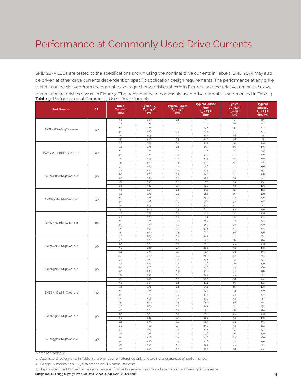### Performance at Commonly Used Drive Currents

**Table 3:** Performance at Commonly Used Drive Currents SMD 2835 LEDs are tested to the specifications shown using the nominal drive currents in Table 1. SMD 2835 may also be driven at other drive currents dependent on specific application design requirements. The performance at any drive current can be derived from the current vs. voltage characteristics shown in Figure 2 and the relative luminous flux vs. current characteristics shown in Figure 3. The performance at commonly used drive currents is summarized in Table 3.

| <b>Part Number</b>     | <b>CRI</b> | <b>Drive</b><br>Current <sup>1</sup><br>(mA) | Typical V <sub>f</sub><br>$T_{\rm sp}$ = 25°C<br>(V) | <b>Typical Power</b><br>$\overline{T}_{\text{sp}}$ = 25 °C<br>(W) | <b>Typical Pulsed</b><br>Flux <sup>2</sup><br>$T_{sp}$ = 25 $°C$<br>(lm) | <b>Typical</b><br>DC Flux <sup>3</sup><br>$T_{sp} = 85^{\circ}$ C<br>(lm) | <b>Typical</b><br><b>Efficacy</b><br>$T_{sp} = 25^{\circ}C$<br>(lm/W) |
|------------------------|------------|----------------------------------------------|------------------------------------------------------|-------------------------------------------------------------------|--------------------------------------------------------------------------|---------------------------------------------------------------------------|-----------------------------------------------------------------------|
|                        |            | 30                                           | 2.69                                                 | 0.1                                                               | 9.1                                                                      | $\overline{8}$                                                            | 113                                                                   |
|                        |            | 42                                           | 2.74                                                 | $0.1\,$                                                           | 12.6                                                                     | 10                                                                        | 110                                                                   |
| BXEN-18G-11M-3C-00-0-0 |            | 60                                           | 2.78                                                 | 0.2                                                               | 17.8                                                                     | 15                                                                        | 107                                                                   |
|                        | 90         | 90                                           | 2.86                                                 | 0.3                                                               | 26.2                                                                     | 22                                                                        | 102                                                                   |
|                        |            | 120                                          | 2.93                                                 | 0.4                                                               | 34.2                                                                     | 28                                                                        | 97                                                                    |
|                        |            | 150                                          | 3.00                                                 | 0.5                                                               | 42.0                                                                     | 38                                                                        | 93                                                                    |
|                        |            | 30                                           | 2.69                                                 | 0.1                                                               | 11.3                                                                     | 10                                                                        | 140                                                                   |
|                        |            | 42                                           | 2.74                                                 | 0.1                                                               | 15.7                                                                     | 13                                                                        | 136                                                                   |
| BXEN-22G-11M-3C-00-0-0 | 90         | 60                                           | 2.78                                                 | 0.2                                                               | 22.1                                                                     | 18                                                                        | 133                                                                   |
|                        |            | 90                                           | 2.86                                                 | 0.3                                                               | 32.5                                                                     | 27                                                                        | 126                                                                   |
|                        |            | 120<br>150                                   | 2.93<br>3.00                                         | 0.4<br>0.5                                                        | 42.3<br>52.0                                                             | 35                                                                        | 120<br>116                                                            |
|                        |            | 30                                           | 2.69                                                 | 0.1                                                               | 12.6                                                                     | 47<br>$11\,$                                                              | 156                                                                   |
|                        |            | 42                                           | 2.74                                                 | 0.1                                                               | 17.5                                                                     | 14                                                                        | 152                                                                   |
|                        |            | 60                                           | 2.78                                                 | 0.2                                                               | 24.6                                                                     | $21\,$                                                                    | 148                                                                   |
| BXEN-27G-11M-3C-00-0-0 | 90         | 90                                           | 2.86                                                 | 0.3                                                               | 36.2                                                                     | 30                                                                        | 141                                                                   |
|                        |            | 120                                          | 2.93                                                 | 0.4                                                               | 47.2                                                                     | 39                                                                        | 134                                                                   |
|                        |            | 150                                          | 3.00                                                 | 0.5                                                               | 58.0                                                                     | 52                                                                        | 129                                                                   |
|                        |            | 30                                           | 2.69                                                 | $0.1\,$                                                           | 13.2                                                                     | $12\,$                                                                    | 164                                                                   |
|                        |            | 42                                           | 2.74                                                 | 0.1                                                               | 18.4                                                                     | 15                                                                        | 160                                                                   |
|                        |            | 60                                           | 2.78                                                 | 0.2                                                               | 25.9                                                                     | 22                                                                        | 156                                                                   |
| BXEN-30G-11M-3C-00-0-0 | 90         | 90                                           | 2.86                                                 | 0.3                                                               | 38.1                                                                     | 32                                                                        | 148                                                                   |
|                        |            | 120                                          | 2.93                                                 | 0.4                                                               | 49.7                                                                     | $41\,$                                                                    | 141                                                                   |
|                        |            | 150                                          | 3.00                                                 | 0.5                                                               | 61.0                                                                     | 55                                                                        | 136                                                                   |
|                        |            | 30                                           | 2.69                                                 | $0.1\,$                                                           | 13.4                                                                     | $12\,$                                                                    | 166                                                                   |
|                        |            | 42                                           | 2.74                                                 | $0.1\,$                                                           | 18.7                                                                     | 15                                                                        | 162                                                                   |
| BXEN-35G-11M-3C-00-0-0 | 90         | 60                                           | 2.78                                                 | 0.2                                                               | 26.3                                                                     | 22                                                                        | 158                                                                   |
|                        |            | 90                                           | 2.86                                                 | 0.3                                                               | 38.7                                                                     | 32                                                                        | 150                                                                   |
|                        |            | 120                                          | 2.93                                                 | 0.4                                                               | 50.5                                                                     | $41\,$                                                                    | 144                                                                   |
|                        |            | 150                                          | 3.00                                                 | 0.5                                                               | 62.0                                                                     | 56                                                                        | 138                                                                   |
|                        |            | 30                                           | 2.69                                                 | $0.1\,$                                                           | 14.1                                                                     | 13<br>16                                                                  | 174                                                                   |
|                        |            | 42<br>60                                     | 2.74<br>2.78                                         | 0.1<br>0.2                                                        | 19.6<br>27.6                                                             | 23                                                                        | 170<br>166                                                            |
| BXEN-40G-11M-3C-00-0-0 | 90         | 90                                           | 2.86                                                 | 0.3                                                               | 40.6                                                                     | 34                                                                        | 158                                                                   |
|                        |            | 120                                          | 2.93                                                 | 0.4                                                               | 52.9                                                                     | 43                                                                        | 151                                                                   |
|                        |            | 150                                          | 3.00                                                 | 0.5                                                               | 65.0                                                                     | 58                                                                        | 144                                                                   |
|                        |            | 30                                           | 2.69                                                 | 0.1                                                               | 14.1                                                                     | 13                                                                        | 174                                                                   |
|                        |            | 42                                           | 2.74                                                 | $0.1\,$                                                           | 19.6                                                                     | 16                                                                        | 170                                                                   |
|                        |            | 60                                           | 2.78                                                 | 0.2                                                               | 27.6                                                                     | 23                                                                        | 166                                                                   |
| BXEN-50G-11M-3C-00-0-0 | 90         | 90                                           | 2.86                                                 | 0.3                                                               | 40.6                                                                     | 34                                                                        | 158                                                                   |
|                        |            | 120                                          | 2.93                                                 | 0.4                                                               | 52.9                                                                     | 43                                                                        | 151                                                                   |
|                        |            | 150                                          | 3.00                                                 | 0.5                                                               | 65.0                                                                     | 58                                                                        | 144                                                                   |
|                        |            | 30                                           | 2.69                                                 | 0.1                                                               | 14.1                                                                     | 13                                                                        | 174                                                                   |
|                        |            | 42                                           | 2.74                                                 | $0.1\,$                                                           | 19.6                                                                     | 16                                                                        | 170                                                                   |
| BXEN-57G-11M-3C-00-0-0 | 90         | 60                                           | 2.78                                                 | 0.2                                                               | 27.6                                                                     | 23                                                                        | 166                                                                   |
|                        |            | 90                                           | 2.86                                                 | 0.3                                                               | 40.6                                                                     | 34                                                                        | 158                                                                   |
|                        |            | 120                                          | 2.93                                                 | 0.4                                                               | 52.9                                                                     | 43                                                                        | 151                                                                   |
|                        |            | 150                                          | 3.00                                                 | 0.5                                                               | 65.0                                                                     | 58                                                                        | 144                                                                   |
|                        |            | 30                                           | 2.69                                                 | 0.1<br>0.1                                                        | 14.1                                                                     | 13<br>16                                                                  | 174                                                                   |
|                        |            | 42<br>60                                     | 2.74<br>2.78                                         | 0.2                                                               | 19.6<br>27.6                                                             | 23                                                                        | 170<br>166                                                            |
| BXEN-65G-11M-3C-00-0-0 | 90         | 90                                           | 2.86                                                 | 0.3                                                               | 40.6                                                                     | 34                                                                        | 158                                                                   |
|                        |            | 120                                          | 2.93                                                 | 0.4                                                               | 52.9                                                                     | 43                                                                        | 151                                                                   |
|                        |            | 150                                          | 3.00                                                 | 0.5                                                               | 65.0                                                                     | 58                                                                        | 144                                                                   |
|                        |            | 30                                           | 2.69                                                 | $0.1\,$                                                           | 14.1                                                                     | 13                                                                        | 174                                                                   |
|                        |            | 42                                           | 2.74                                                 | 0.1                                                               | 19.6                                                                     | 16                                                                        | 170                                                                   |
|                        |            | 60                                           | 2.78                                                 | 0.2                                                               | 27.6                                                                     | 23                                                                        | 166                                                                   |
| BXEN-75G-11M-3C-00-0-0 | 90         | 90                                           | 2.86                                                 | 0.3                                                               | 40.6                                                                     | 34                                                                        | 158                                                                   |
|                        |            | 120                                          | 2.93                                                 | 0.4                                                               | 52.9                                                                     | 43                                                                        | 151                                                                   |
|                        |            | 150                                          | 3.00                                                 | 0.5                                                               | 65.0                                                                     | 58                                                                        | 144                                                                   |

Notes for Tables 3:

1. Alternate drive currents in Table 3 are provided for reference only and are not a guarantee of performance.

2. Bridgelux maintains a ± 7.5% tolerance on flux measurements.

**Bridgelux SMD 2835 0.5W 3V Product Data Sheet DS242 Rev. B (11/2020)**  3. Typical stabilized DC performance values are provided as reference only and are not a guarantee of performance.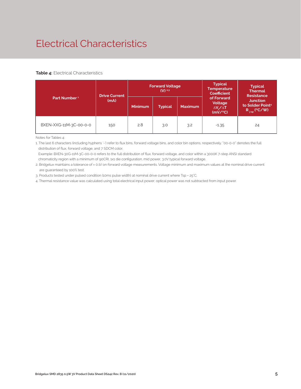## Electrical Characteristics

#### **Table 4:** Electrical Characteristics

|                          | <b>Drive Current</b> |                | <b>Forward Voltage</b><br>$(V)$ 2.3 |                | <b>Typical</b><br><b>Temperature</b><br><b>Coefficient</b>     | <b>Typical</b><br><b>Thermal</b><br><b>Resistance</b>                |  |
|--------------------------|----------------------|----------------|-------------------------------------|----------------|----------------------------------------------------------------|----------------------------------------------------------------------|--|
| Part Number <sup>1</sup> | (mA)                 | <b>Minimum</b> | <b>Typical</b>                      | <b>Maximum</b> | of Forward<br>Voltage<br>$\Delta V_{\rm s}/\Delta T$<br>(mV/C) | <b>Junction</b><br>to Solder Point <sup>4</sup><br>$R_{j-sp}$ (°C/W) |  |
| BXEN-XXG-11M-3C-00-0-0   | 150                  | 2.8            | 3.0                                 | 3.2            | $-1.35$                                                        | 24                                                                   |  |

Notes for Tables 4:

1. The last 6 characters (including hyphens '-') refer to flux bins, forward voltage bins, and color bin options, respectively. "00-0-0" denotes the full distribution of flux, forward voltage, and 7 SDCM color.

 Example: BXEN-30G-11M-3C-00-0-0 refers to the full distribution of flux, forward voltage, and color within a 3000K 7-step ANSI standard chromaticity region with a minimum of 90CRI, 1x1 die configuration, mid power, 3.0V typical forward voltage.

2. Bridgelux maintains a tolerance of ± 0.1V on forward voltage measurements. Voltage minimum and maximum values at the nominal drive current are guaranteed by 100% test.

3. Products tested under pulsed condition (10ms pulse width) at nominal drive current where Tsp = 25°C.

4. Thermal resistance value was calculated using total electrical input power; optical power was not subtracted from input power.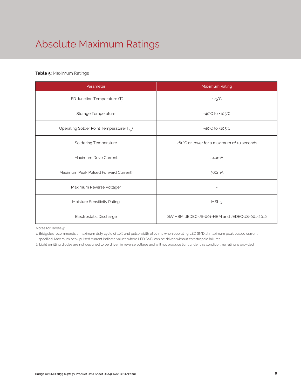# Absolute Maximum Ratings

### **Table 5:** Maximum Ratings

| Parameter                                             | Maximum Rating                                  |  |  |  |  |
|-------------------------------------------------------|-------------------------------------------------|--|--|--|--|
| LED Junction Temperature $(T_i)$                      | $125^{\circ}$ C                                 |  |  |  |  |
| Storage Temperature                                   | $-40^{\circ}$ C to $+105^{\circ}$ C             |  |  |  |  |
| Operating Solder Point Temperature (T <sub>Sp</sub> ) | $-40^{\circ}$ C to $+105^{\circ}$ C             |  |  |  |  |
| <b>Soldering Temperature</b>                          | 260°C or lower for a maximum of 10 seconds      |  |  |  |  |
| Maximum Drive Current                                 | 240mA                                           |  |  |  |  |
| Maximum Peak Pulsed Forward Current <sup>1</sup>      | 360 <sub>m</sub> A                              |  |  |  |  |
| Maximum Reverse Voltage <sup>2</sup>                  |                                                 |  |  |  |  |
| Moisture Sensitivity Rating                           | MSL <sub>3</sub>                                |  |  |  |  |
| Electrostatic Discharge                               | 2kV HBM, JEDEC-JS-001-HBM and JEDEC-JS-001-2012 |  |  |  |  |

Notes for Tables 5:

1. Bridgelux recommends a maximum duty cycle of 10% and pulse width of 10 ms when operating LED SMD at maximum peak pulsed current specified. Maximum peak pulsed current indicate values where LED SMD can be driven without catastrophic failures.

2. Light emitting diodes are not designed to be driven in reverse voltage and will not produce light under this condition. no rating is provided.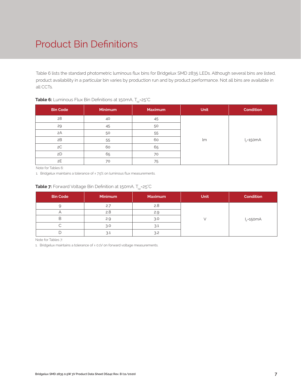## Product Bin Definitions

Table 6 lists the standard photometric luminous flux bins for Bridgelux SMD 2835 LEDs. Although several bins are listed, product availability in a particular bin varies by production run and by product performance. Not all bins are available in all CCTs.

| <b>Bin Code</b> | Minimum | <b>Maximum</b> | <b>Unit</b> | <b>Condition</b> |  |
|-----------------|---------|----------------|-------------|------------------|--|
| 28              | 40      | 45             |             |                  |  |
| 29              | 45      | 50             |             |                  |  |
| 2A              | 50      | 55             |             |                  |  |
| 2B              | 55      | 60             | lm          | $I_F = 150mA$    |  |
| 2C              | 60      | 65             |             |                  |  |
| 2D              | 65      | 70             |             |                  |  |
| 2E              | 70      | 75             |             |                  |  |

### **Table 6:** Luminous Flux Bin Definitions at 150mA, T<sub>sp</sub>=25°C

Note for Tables 6:

1. Bridgelux maintains a tolerance of ±7.5% on luminous flux measurements.

### **Table 7:** Forward Voltage Bin Definition at 150mA, T<sub>sp</sub>=25°C

| <b>Bin Code</b> | <b>Minimum</b> | <b>Maximum</b> | <b>Unit</b> | <b>Condition</b> |
|-----------------|----------------|----------------|-------------|------------------|
|                 | 2.7            | 2.8            |             |                  |
|                 | 2.8            | 2.0            |             |                  |
|                 | 2.9            | 3.0            |             | $I_F = 150mA$    |
|                 | 3.0            | 3.1            |             |                  |
|                 | 3.1            | 3.2            |             |                  |

Note for Tables 7:

1. Bridgelux maintains a tolerance of ± 0.1V on forward voltage measurements.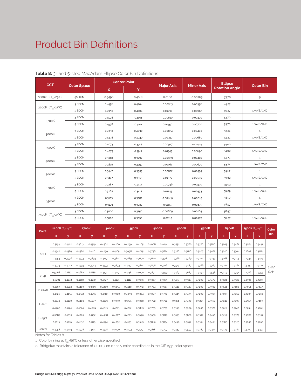### Product Bin Definitions

| <b>CCT</b>                    |                    |              | <b>Center Point</b> |                   |                   | <b>Ellipse</b>        |                  |  |
|-------------------------------|--------------------|--------------|---------------------|-------------------|-------------------|-----------------------|------------------|--|
|                               | <b>Color Space</b> | $\mathsf{x}$ | Y                   | <b>Major Axis</b> | <b>Minor Axis</b> | <b>Rotation Angle</b> | <b>Color Bin</b> |  |
| 1800k (T <sub>sp</sub> =25°C) | 5SDCM              | 0.5496       | 0.4081              | 0.0160            | 0.00765           | 53.70                 | 5                |  |
|                               | 3 SDCM             | 0.4958       | 0.4204              | 0.00863           | 0.00398           | 49.27                 | $\mathbf{1}$     |  |
| 2200K (T <sub>sp</sub> =25°C) | 5 SDCM             | 0.4958       | 0.4204              | 0.01438           | 0.00663           | 49.27                 | 1/A/B/C/D        |  |
|                               | 3 SDCM             | 0.4578       | 0.4101              | 0.00810           | 0.00420           | 53.70                 | $\mathbf{1}$     |  |
| 2700K                         | 5 SDCM             | 0.4578       | 0.4101              | 0.01350           | 0.00700           | 53.70                 | 1/A/B/C/D        |  |
|                               | 3 SDCM             | 0.4338       | 0.4030              | 0.00834           | 0.00408           | 53.22                 | $\mathbf{1}$     |  |
| 3000K                         | 5 SDCM             | 0.4338       | 0.4030              | 0.01390           | 0.00680           | 53.22                 | 1/A/B/C/D        |  |
| 3500K                         | 3 SDCM             | 0.4073       | 0.3917              | 0.00927           | 0.00414           | 54.00                 | $\mathbf{1}$     |  |
|                               | 5 SDCM             | 0.4073       | 0.3917              | 0.01545           | 0.00690           | 54.00                 | 1/A/B/C/D        |  |
| 4000K                         | 3 SDCM             | 0.3818       | 0.3797              | 0.00939           | 0.00402           | 53.72                 | $\mathbf{1}$     |  |
|                               | 5 SDCM             | 0.3818       | 0.3797              | 0.01565           | 0.00670           | 53.72                 | 1/A/B/C/D        |  |
| 5000K                         | 3 SDCM             | 0.3447       | 0.3553              | 0.00822           | 0.00354           | 59.62                 | $\mathbf{1}$     |  |
|                               | 5 SDCM             | 0.3447       | 0.3553              | 0.01370           | 0.00590           | 59.62                 | 1/A/B/C/D        |  |
|                               | 3 SDCM             | 0.3287       | 0.3417              | 0.00746           | 0.00320           | 59.09                 | $\mathbf{1}$     |  |
| 5700K                         | 5 SDCM             | 0.3287       | 0.3417              | 0.01243           | 0.00533           | 59.09                 | 1/A/B/C/D        |  |
|                               | 3 SDCM             | 0.3123       | 0.3282              | 0.00669           | 0.00285           | 58.57                 | $\mathbf{1}$     |  |
| 6500K                         | 5 SDCM             | 0.3123       | 0.3282              | 0.01115           | 0.00475           | 58.57                 | 1/A/B/C/D        |  |
|                               | 3 SDCM             | 0.3000       | 0.3250              | 0.00669           | 0.00285           | 58.57                 | $\mathbf{1}$     |  |
| 7500K (T <sub>sp</sub> =25°C) | 5 SDCM             | 0.3000       | 0.3250              | 0.01115           | 0.00475           | 58.57                 | 1/A/B/C/D        |  |

#### **Table 8:** 3- and 5-step MacAdam Ellipse Color Bin Definitions

| Point       |             | 2200K (T <sub>m</sub> =25°C) |        | 2700K  |             | 3000K  | 3500K        |        |        | 4000K  |              | 5000K  |          | 5700K  |             | 6500K  |        | 7500K (T <sub>on</sub> =25°C) |            |
|-------------|-------------|------------------------------|--------|--------|-------------|--------|--------------|--------|--------|--------|--------------|--------|----------|--------|-------------|--------|--------|-------------------------------|------------|
|             | $\mathbf x$ | y                            | x      | y      | $\mathbf x$ | y      | $\mathsf{x}$ | y      | x      | y      | $\mathsf{x}$ | y      | <b>x</b> | y      | $\mathbf x$ | y      | x      | y                             | <b>Bin</b> |
|             | 0.5193      | 0.4422                       | 0.4813 | 0.4319 | 0.4562      | 0.4260 | 0.4299       | 0.4165 | 0.4006 | 0.4044 | 0.3551       | 0.3760 | 0.3376   | 0.3616 | 0.3205      | 0.3481 | 0.3074 | 0.3441                        |            |
| <b>ANSI</b> | 0.4942      | 0.4363                       | 0.4562 | 0.426  | 0.4299      | 0.4165 | 0.3996       | 0.4015 | 0.3736 | 0.3874 | 0.3376       | 0.3616 | 0.3207   | 0.3462 | 0.3028      | 0.3304 | 0.2897 | 0.3264                        |            |
|             | 0.4753      | 0.3996                       | 0.4373 | 0.3893 | 0.4147      | 0.3814 | 0.3889       | 0.3690 | 0.3670 | 0.3578 | 0.3366       | 0.3369 | 0.3222   | 0.3243 | 0.3068      | 0.3113 | 0.2937 | 0.3073                        |            |
|             | 0.4973      | 0.4047                       | 0.4593 | 0.3944 | 0.4373      | 0.3893 | 0.4147       | 0.3814 | 0.3898 | 0.3716 | 0.3515       | 0.3487 | 0.3366   | 0.3369 | 0.3221      | 0.3261 | 0.3090 | 0.3221                        | F/F/       |
|             | 0.5068      | 0.4393                       | 0.4687 | 0.4289 | 0.4431      | 0.4213 | 0.4148       | 0.4090 | 0.3871 | 0.3959 | 0.3463       | 0.3687 | 0.3290   | 0.3538 | 0.3115      | 0.3391 | 0.2986 | 0.3353                        | G/H        |
| V-up        | 0.5001      | 0.4272                       | 0.4618 | 0.4170 | 0.4377      | 0.4101 | 0.4112       | 0.3996 | 0.3847 | 0.3873 | 0.3457       | 0.3617 | 0.3290   | 0.3470 | 0.3124      | 0.3328 | 0.2994 | 0.3289                        |            |
|             | 0.4863      | 0.4022                       | 0.4483 | 0.3919 | 0.4260      | 0.3854 | 0.4018       | 0.3752 | 0.3784 | 0.3647 | 0.3440       | 0.3427 | 0.3290   | 0.3300 | 0.3144      | 0.3186 | 0.3014 | 0.3147                        |            |
| V-down      | 0.4925      | 0.4134                       | 0.4542 | 0.4031 | 0.4310      | 0.3960 | 0.4053       | 0.3844 | 0.3807 | 0.3730 | 0.3445       | 0.3495 | 0.3290   | 0.3369 | 0.3135      | 0.3250 | 0.3005 | 0.3210                        |            |
| H-left      | 0.4848      | 0.4180                       | 0.4468 | 0.4077 | 0.4223      | 0.3990 | 0.3941       | 0.3848 | 0.3702 | 0.3722 | 0.3371       | 0.3490 | 0.3215   | 0.3350 | 0.3048      | 0.3207 | 0.2917 | 0.3169                        |            |
|             | 0.4905      | 0.4194                       | 0.4524 | 0.4089 | 0.4283      | 0.4013 | 0.4012       | 0.3885 | 0.3755 | 0.3755 | 0.3395       | 0.3509 | 0.3240   | 0.3372 | 0.3081      | 0.3240 | 0.2958 | 0.3208                        |            |
|             | 0.5083      | 0.4235                       | 0.4703 | 0.4132 | 0.4468      | 0.4077 | 0.4223       | 0.3990 | 0.3950 | 0.3875 | 0.3533       | 0.3620 | 0.3371   | 0.3490 | 0.3213      | 0.3373 | 0.3082 | 0.3331                        |            |
| H-right     | 0.5013      | 0.4219                       | 0.4632 | 0.4115 | 0.4394      | 0.4052 | 0.4133       | 0.3945 | 0.3880 | 0.3834 | 0.3498       | 0.3592 | 0.3334   | 0.3456 | 0.3165      | 0.3325 | 0.3042 | 0.3292                        |            |
| Center      | 0.4958      | 0.4204                       | 0.4578 | 0.4101 | 0.4338      | 0.4030 | 0.4073       | 0.3917 | 0.3818 | 0.3797 | 0.3447       | 0.3553 | 0.3287   | 0.3417 | 0.3123      | 0.3282 | 0.3000 | 0.3250                        |            |

Notes for Tables 8:

1. Color binning at  $T_{sp}$ =85°C unless otherwise specified

2. Bridgelux maintains a tolerance of ± 0.007 on x and y color coordinates in the CIE 1931 color space.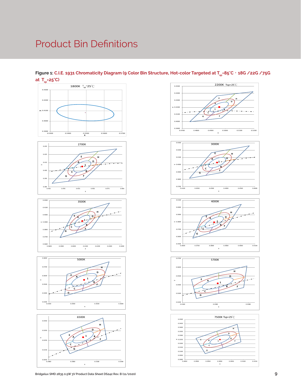### Product Bin Definitions

### **Figure 1: C.I.E. 1931 Chromaticity Diagram (9 Color Bin Structure, Hot-color Targeted at T<sub>sp</sub>=85°C, 18G /22G /75G** at T<sub>sp</sub>=25°C)



0.3900 0.4000 0.4100 0.4200 **y** 0.4300  $0.440$ 0.4500 0.4700 0.4800 0.4900 0.5000 0.5100 0.5200 **x** 2200K Tsp=25℃ **1 A B C D E F H G**









0.2980 0.3080 0.3180 0.3280

x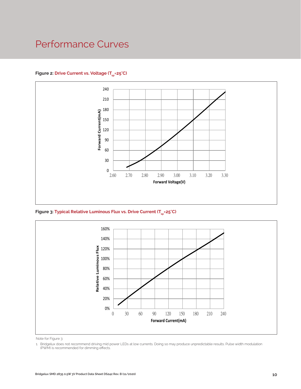### Performance Curves

### Figure 2: Drive Current vs. Voltage (T<sub>SD</sub>=25°C)



Figure 3: Typical Relative Luminous Flux vs. Drive Current (T<sub>sp</sub>=25°C)



Note for Figure 3:

1. Bridgelux does not recommend driving mid power LEDs at low currents. Doing so may produce unpredictable results. Pulse width modulation (PWM) is recommended for dimming effects.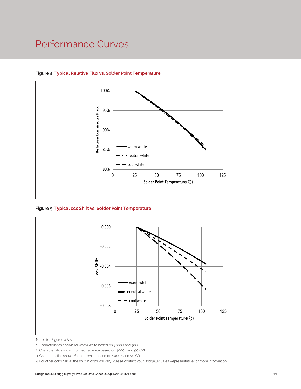### Performance Curves



### **Figure 4: Typical Relative Flux vs. Solder Point Temperature**

**Figure 5: Typical ccx Shift vs. Solder Point Temperature**



Notes for Figures 4 & 5:

<sup>1.</sup> Characteristics shown for warm white based on 3000K and 90 CRI.

<sup>2.</sup> Characteristics shown for neutral white based on 4000K and 90 CRI.

<sup>3.</sup> Characteristics shown for cool white based on 5000K and 90 CRI.

<sup>4.</sup> For other color SKUs, the shift in color will vary. Please contact your Bridgelux Sales Representative for more information.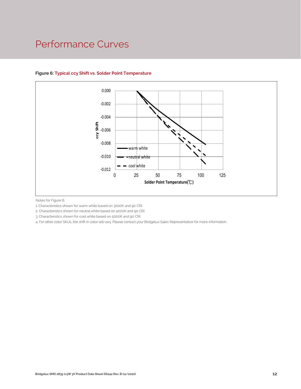### Performance Curves



### **Figure 6: Typical ccy Shift vs. Solder Point Temperature**

Notes for Figure 6:

1. Characteristics shown for warm white based on 3000K and 90 CRI.

2. Characteristics shown for neutral white based on 4000K and 90 CRI.

3. Characteristics shown for cool white based on 5000K and 90 CRI.

4. For other color SKUs, the shift in color will vary. Please contact your Bridgelux Sales Representative for more information.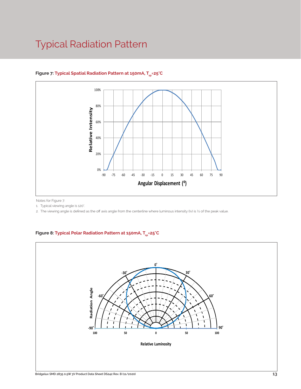### Typical Radiation Pattern



### Figure 7: Typical Spatial Radiation Pattern at 150mA, T<sub>sp</sub>=25°C

Notes for Figure 7:

1. Typical viewing angle is 120°.

2. The viewing angle is defined as the off axis angle from the centerline where luminous intensity (Iv) is ½ of the peak value.

### Figure 8: Typical Polar Radiation Pattern at 150mA, T<sub>sp</sub>=25°C

.

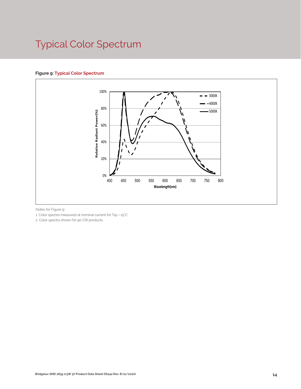# Typical Color Spectrum

### **Figure 9: Typical Color Spectrum**



Notes for Figure 9:

1. Color spectra measured at nominal current for Tsp = 25°C

2. Color spectra shown for 90 CRI products.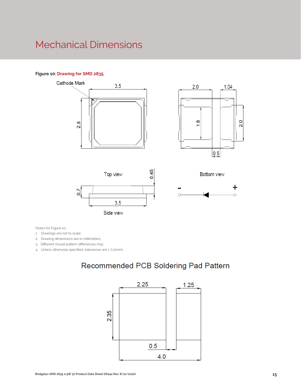### Mechanical Dimensions

#### **Figure 10: Drawing for SMD 2835**









**Bottom view** 

Notes for Figure 10:

1. Drawings are not to scale.

- 2. Drawing dimensions are in millimeters.
- 3. Different mould pattern differences may

4. Unless otherwise specified, tolerances are ± 0.10mm.

### Recommended PCB Soldering Pad Pattern

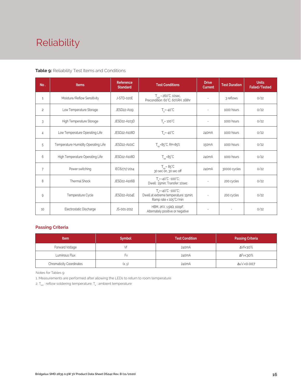# Reliability

#### **Table 9:** Reliability Test Items and Conditions

| No.            | <b>Items</b>                        | <b>Reference</b><br><b>Standard</b>                                                | <b>Test Conditions</b>                                                                                 | <b>Drive</b><br><b>Current</b> | <b>Test Duration</b> | <b>Units</b><br><b>Failed/Tested</b> |
|----------------|-------------------------------------|------------------------------------------------------------------------------------|--------------------------------------------------------------------------------------------------------|--------------------------------|----------------------|--------------------------------------|
| 1              | Moisture/Reflow Sensitivity         | $T_{\text{cld}}$ = 260°C, 10sec,<br>J-STD-020E<br>Precondition: 60°C, 60%RH, 168hr |                                                                                                        | $\sim$                         | 3 reflows            | 0/22                                 |
| $\overline{c}$ | Low Temperature Storage             | JESD22-A119                                                                        | $T_a = -40^{\circ}C$                                                                                   | $\sim$                         | 1000 hours           | 0/22                                 |
| 3              | High Temperature Storage            | JESD22-A103D                                                                       | $T_a = 100^{\circ}$ C                                                                                  | $\sim$                         | 1000 hours           | 0/22                                 |
| 4              | Low Temperature Operating Life      | JESD22-A108D<br>$T_s = -40^{\circ}C$                                               |                                                                                                        | 240 <sub>m</sub> A             | 1000 hours           | 0/22                                 |
| 5              | Temperature Humidity Operating Life | JESD22-A101C                                                                       | $T_{\rm sn}$ =85°C, RH=85%                                                                             |                                | 1000 hours           | 0/22                                 |
| 6              | High Temperature Operating Life     | JESD22-A108D                                                                       | $T_{\rm SD} = 85^{\circ}C$                                                                             | 240 <sub>m</sub> A             | 1000 hours           | 0/22                                 |
| $\overline{7}$ | Power switching                     | IEC62717:2014                                                                      | $T_{\rm SD} = 85^{\circ}C$<br>30 sec on, 30 sec off                                                    | 240 <sub>m</sub> A             | 30000 cycles         | 0/22                                 |
| 8              | Thermal Shock                       | JESD22-A106B                                                                       | $T_s = -40^{\circ}C \sim 100^{\circ}C$ ;<br>Dwell: 15min; Transfer: 10sec                              | $\sim$                         | 200 cycles           | 0/22                                 |
| 9              | Temperature Cycle                   | JESD22-A104E                                                                       | $T_a = -40^{\circ}C - 100^{\circ}C$ ;<br>Dwell at extreme temperature: 15min;<br>Ramp rate < 105°C/min |                                | 200 cycles           | 0/22                                 |
| 10             | Electrostatic Discharge             | JS-001-2012                                                                        | HBM, $2KV$ , $1.5k\Omega$ , 100pF,<br>Alternately positive or negative                                 | $\overline{\phantom{m}}$       |                      | 0/22                                 |

### **Passing Criteria**

| <b>Item</b>                     | <b>Symbol</b> | <b>Test Condition</b> | <b>Passing Criteria</b> |
|---------------------------------|---------------|-----------------------|-------------------------|
| Forward Voltage                 |               | 240 <sub>m</sub> A    | ΔVf<10%                 |
| Luminous Flux                   | ۲v            | 240mA                 | ΔFν<30%                 |
| <b>Chromaticity Coordinates</b> | (x, y)        | 240mA                 | Δu'v'<0.007             |

Notes for Tables 9:

1. Measurements are performed after allowing the LEDs to return to room temperature

2.  $\mathsf{T}_{\mathsf{std}}$  : reflow soldering temperature;  $\mathsf{T}_{\mathsf{g}}$  : ambient temperature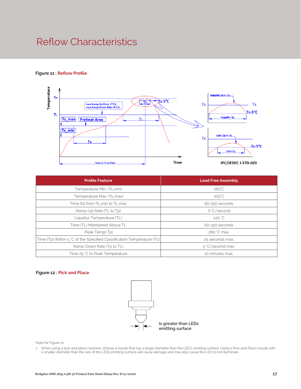### Reflow Characteristics

#### **Figure 11 : Reflow Profile**



| <b>Profile Feature</b>                                                 | <b>Lead Free Assembly</b> |  |
|------------------------------------------------------------------------|---------------------------|--|
| Temperature Min. (Ts_min)                                              | $160^{\circ}$ C           |  |
| Temperature Max. (Ts_max)                                              | $205^{\circ}C$            |  |
| Time (ts) from Ts_min to Ts_max                                        | 60-150 seconds            |  |
| Ramp-Up Rate (TL to Tp)                                                | 3 °C/second               |  |
| Liquidus Temperature (TL)                                              | 220 °C                    |  |
| Time (TL) Maintained Above TL                                          | 60-150 seconds            |  |
| Peak Temp(Tp)                                                          | 260 °C max.               |  |
| Time (Tp) Within 5 °C of the Specified Classification Temperature (Tc) | 25 seconds max.           |  |
| Ramp-Down Rate (Tp to TL)                                              | 5 °C/second max.          |  |
| Time 25 °C to Peak Temperature                                         | 10 minutes max.           |  |

#### **Figure 12 : Pick and Place**



Note for Figure 12:

1. When using a pick and place machine, choose a nozzle that has a larger diameter than the LED's emitting surface. Using a Pick-and-Place nozzle with a smaller diameter than the size of the LEDs emitting surface will cause damage and may also cause the LED to not illuminate.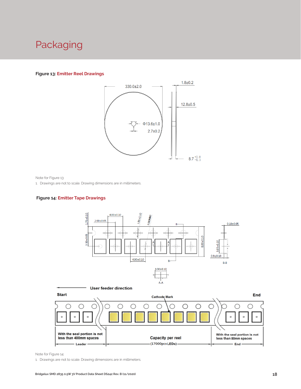### Packaging

#### **Figure 13: Emitter Reel Drawings**



Note for Figure 13:

1. Drawings are not to scale. Drawing dimensions are in millimeters.

#### **Figure 14: Emitter Tape Drawings**





Note for Figure 14:

1. Drawings are not to scale. Drawing dimensions are in millimeters.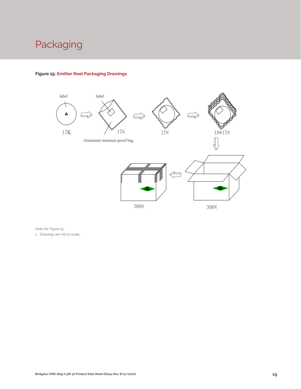## Packaging



### **Figure 15: Emitter Reel Packaging Drawings**

Note for Figure 15:

1. Drawings are not to scale.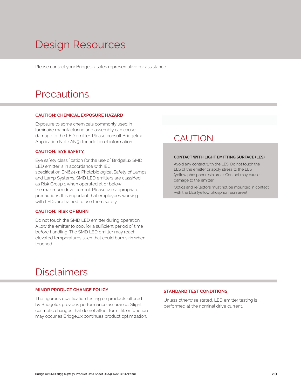# Design Resources

Please contact your Bridgelux sales representative for assistance.

### **Precautions**

#### **CAUTION: CHEMICAL EXPOSURE HAZARD**

Exposure to some chemicals commonly used in luminaire manufacturing and assembly can cause damage to the LED emitter. Please consult Bridgelux Application Note AN51 for additional information.

#### **CAUTION: EYE SAFETY**

Eye safety classification for the use of Bridgelux SMD LED emitter is in accordance with IEC specification EN62471: Photobiological Safety of Lamps and Lamp Systems. SMD LED emitters are classified as Risk Group 1 when operated at or below the maximum drive current. Please use appropriate precautions. It is important that employees working with LEDs are trained to use them safely.

#### **CAUTION: RISK OF BURN**

Do not touch the SMD LED emitter during operation. Allow the emitter to cool for a sufficient period of time before handling. The SMD LED emitter may reach elevated temperatures such that could burn skin when touched.

### **CAUTION**

#### **CONTACT WITH LIGHT EMITTING SURFACE (LES)**

Avoid any contact with the LES. Do not touch the LES of the emitter or apply stress to the LES (yellow phosphor resin area). Contact may cause damage to the emitter

Optics and reflectors must not be mounted in contact with the LES (yellow phosphor resin area).

### Disclaimers

#### **MINOR PRODUCT CHANGE POLICY**

The rigorous qualification testing on products offered by Bridgelux provides performance assurance. Slight cosmetic changes that do not affect form, fit, or function may occur as Bridgelux continues product optimization.

#### **STANDARD TEST CONDITIONS**

Unless otherwise stated, LED emitter testing is performed at the nominal drive current.